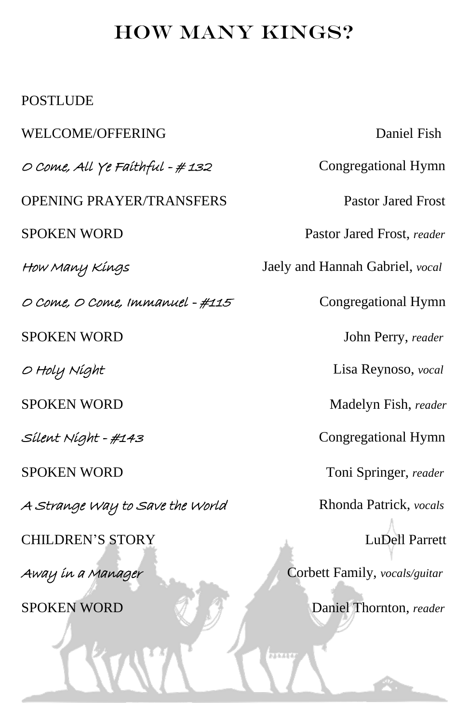## HOW MANY KINGS?

## POSTLUDE

WELCOME/OFFERING Daniel Fish O Come, All Ye Faithful - #132 Congregational Hymn OPENING PRAYER/TRANSFERS Pastor Jared Frost SPOKEN WORD Pastor Jared Frost, *reader* How Many Kings Jaely and Hannah Gabriel, *vocal* O Come, O Come, Immanuel - #115 Congregational Hymn SPOKEN WORD John Perry, *reader* O Holy Night Lisa Reynoso, *vocal* SPOKEN WORD Madelyn Fish, *reader* Silent Night - #143 Congregational Hymn SPOKEN WORD Toni Springer, *reader* A Strange Way to Save the World Rhonda Patrick, *vocals* CHILDREN'S STORY LuDell Parrett Away in a Manager Corbett Family, *vocals/guitar* SPOKEN WORD Daniel Thornton, *reader* 

 $777777$